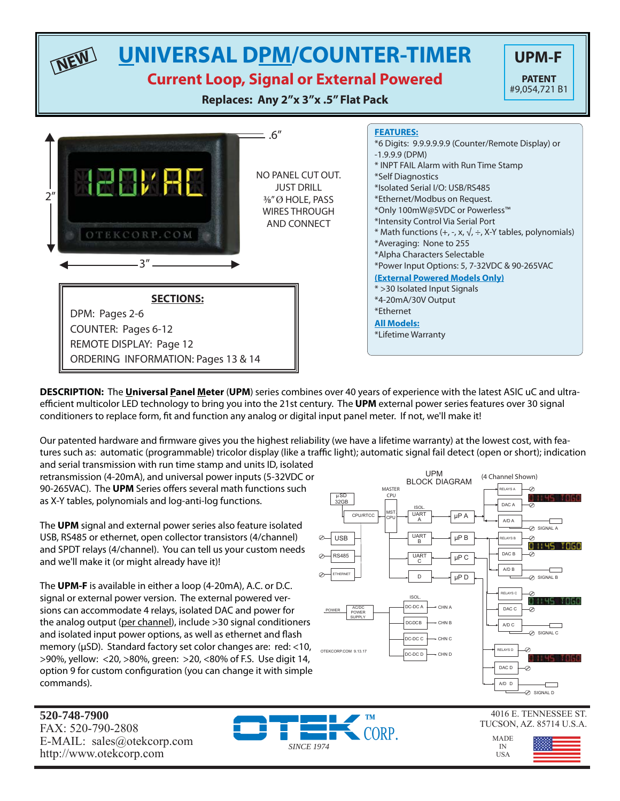### **UNIVERSAL DPM/COUNTER-TIMER UPM-F NEW**

## **Current Loop, Signal or External Powered**

**Replaces: Any 2"x 3"x .5" Flat Pack**

 $= .6"$ 

NO PANEL CUT OUT. JUST DRILL 3⁄8" Ø HOLE, PASS WIRES THROUGH AND CONNECT



**PATENT**

**DESCRIPTION:** The **Universal Panel Meter** (**UPM**) series combines over 40 years of experience with the latest ASIC uC and ultraefficient multicolor LED technology to bring you into the 21st century. The UPM external power series features over 30 signal conditioners to replace form, fit and function any analog or digital input panel meter. If not, we'll make it!

Our patented hardware and firmware gives you the highest reliability (we have a lifetime warranty) at the lowest cost, with features such as: automatic (programmable) tricolor display (like a traffic light); automatic signal fail detect (open or short); indication

and serial transmission with run time stamp and units ID, isolated retransmission (4-20mA), and universal power inputs (5-32VDC or 90-265VAC). The **UPM** Series offers several math functions such as X-Y tables, polynomials and log-anti-log functions.

 $\longleftrightarrow$  3"  $\longrightarrow$ 

**HEBVAL** 

OTEKCORP.COM

DPM: Pages 2-6

COUNTER: Pages 6-12 REMOTE DISPLAY: Page 12

**SECTIONS:**

ORDERING INFORMATION: Pages 13 & 14

 $2<sup>n</sup>$ 

▼

 $\blacktriangle$ 

The **UPM** signal and external power series also feature isolated USB, RS485 or ethernet, open collector transistors (4/channel) and SPDT relays (4/channel). You can tell us your custom needs and we'll make it (or might already have it)!

The **UPM-F** is available in either a loop (4-20mA), A.C. or D.C. signal or external power version. The external powered versions can accommodate 4 relays, isolated DAC and power for the analog output (per channel), include >30 signal conditioners and isolated input power options, as well as ethernet and flash memory (μSD). Standard factory set color changes are: red: <10, >90%, yellow: <20, >80%, green: >20, <80% of F.S. Use digit 14, option 9 for custom configuration (you can change it with simple commands).

UPM (4 Channel Shown) BLOCK DIAGRAM MASTER **ELAYS A** -0 CPU 8 THS TORB μSD 32GB DAC A ISOL. CPU/RTCC MST. UART μP A CPU A A/D A  $\oslash$  SIGNAL A μP B USB **UART** RELAYS B B 8 H 45 T868 DAC B RS485 -の μP C UART C A/D B  $\overline{D}$  $μP D$  $\overline{\otimes}$  SIGNAL B ETHERNET **ELAYS C ISO** 83145 7868 DC-DC A CHN A DAC C AC/DC Ø POWER POWER SUPPLY DC-DC B CHN B A/D C ┌─┐ SIGNAL C DC-DC C CHN C RELAYS D OTEKCORP.COM 9.13.17 DC-DC D CHN D **B** LL UC STREE DAC D ∞ A/D D ┌──┐ SIGNAL D

**520-748-7900** FAX: 520-790-2808 E-MAIL: sales@otekcorp.com http://www.otekcorp.com

**CORP.** *SINCE 1974*

4016 E. TENNESSEE ST. TUCSON, AZ. 85714 U.S.A.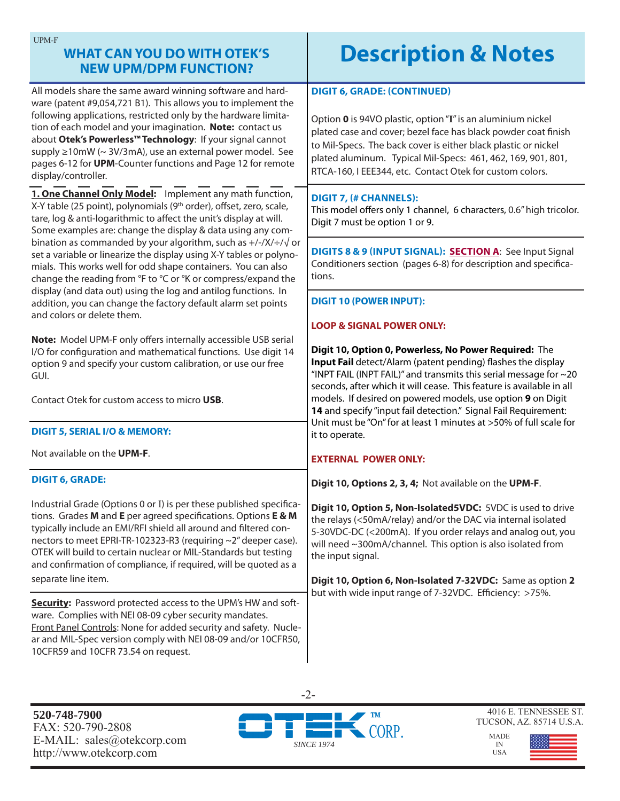| <b>UPM-F</b><br><b>WHAT CAN YOU DO WITH OTEK'S</b><br><b>NEW UPM/DPM FUNCTION?</b>                                                                                                                                                                                                                                                                                                                                                                                          | <b>Description &amp; Notes</b>                                                                                                                                                                                                                                                                                                                                                                             |  |  |
|-----------------------------------------------------------------------------------------------------------------------------------------------------------------------------------------------------------------------------------------------------------------------------------------------------------------------------------------------------------------------------------------------------------------------------------------------------------------------------|------------------------------------------------------------------------------------------------------------------------------------------------------------------------------------------------------------------------------------------------------------------------------------------------------------------------------------------------------------------------------------------------------------|--|--|
| All models share the same award winning software and hard-<br>ware (patent #9,054,721 B1). This allows you to implement the<br>following applications, restricted only by the hardware limita-<br>tion of each model and your imagination. Note: contact us<br>about Otek's Powerless™ Technology: If your signal cannot<br>supply ≥10mW (~ 3V/3mA), use an external power model. See<br>pages 6-12 for UPM-Counter functions and Page 12 for remote<br>display/controller. | <b>DIGIT 6, GRADE: (CONTINUED)</b><br>Option 0 is 94VO plastic, option "I" is an aluminium nickel<br>plated case and cover; bezel face has black powder coat finish<br>to Mil-Specs. The back cover is either black plastic or nickel<br>plated aluminum. Typical Mil-Specs: 461, 462, 169, 901, 801,<br>RTCA-160, I EEE344, etc. Contact Otek for custom colors.                                          |  |  |
| 1. One Channel Only Model: Implement any math function,<br>X-Y table (25 point), polynomials (9 <sup>th</sup> order), offset, zero, scale,<br>tare, log & anti-logarithmic to affect the unit's display at will.<br>Some examples are: change the display & data using any com-                                                                                                                                                                                             | <b>DIGIT 7, (# CHANNELS):</b><br>This model offers only 1 channel, 6 characters, 0.6" high tricolor.<br>Digit 7 must be option 1 or 9.                                                                                                                                                                                                                                                                     |  |  |
| bination as commanded by your algorithm, such as $+/-/X/}/\sqrt{\sigma}$<br>set a variable or linearize the display using X-Y tables or polyno-<br>mials. This works well for odd shape containers. You can also<br>change the reading from °F to °C or °K or compress/expand the                                                                                                                                                                                           | DIGITS 8 & 9 (INPUT SIGNAL): SECTION A: See Input Signal<br>Conditioners section (pages 6-8) for description and specifica-<br>tions.                                                                                                                                                                                                                                                                      |  |  |
| display (and data out) using the log and antilog functions. In<br>addition, you can change the factory default alarm set points<br>and colors or delete them.                                                                                                                                                                                                                                                                                                               | <b>DIGIT 10 (POWER INPUT):</b><br><b>LOOP &amp; SIGNAL POWER ONLY:</b>                                                                                                                                                                                                                                                                                                                                     |  |  |
| Note: Model UPM-F only offers internally accessible USB serial<br>I/O for configuration and mathematical functions. Use digit 14<br>option 9 and specify your custom calibration, or use our free<br>GUI.<br>Contact Otek for custom access to micro USB.                                                                                                                                                                                                                   | Digit 10, Option 0, Powerless, No Power Required: The<br>Input Fail detect/Alarm (patent pending) flashes the display<br>"INPT FAIL (INPT FAIL)" and transmits this serial message for $\sim$ 20<br>seconds, after which it will cease. This feature is available in all<br>models. If desired on powered models, use option 9 on Digit<br>14 and specify "input fail detection." Signal Fail Requirement: |  |  |
| <b>DIGIT 5, SERIAL I/O &amp; MEMORY:</b>                                                                                                                                                                                                                                                                                                                                                                                                                                    | Unit must be "On" for at least 1 minutes at >50% of full scale for<br>it to operate.                                                                                                                                                                                                                                                                                                                       |  |  |
| Not available on the UPM-F.                                                                                                                                                                                                                                                                                                                                                                                                                                                 | <b>EXTERNAL POWER ONLY:</b>                                                                                                                                                                                                                                                                                                                                                                                |  |  |
| <b>DIGIT 6, GRADE:</b>                                                                                                                                                                                                                                                                                                                                                                                                                                                      | Digit 10, Options 2, 3, 4; Not available on the UPM-F.                                                                                                                                                                                                                                                                                                                                                     |  |  |
| Industrial Grade (Options 0 or I) is per these published specifica-<br>tions. Grades M and E per agreed specifications. Options E & M<br>typically include an EMI/RFI shield all around and filtered con-<br>nectors to meet EPRI-TR-102323-R3 (requiring ~2" deeper case).<br>OTEK will build to certain nuclear or MIL-Standards but testing<br>and confirmation of compliance, if required, will be quoted as a<br>separate line item.                                   | Digit 10, Option 5, Non-Isolated5VDC: 5VDC is used to drive<br>the relays (<50mA/relay) and/or the DAC via internal isolated<br>5-30VDC-DC (<200mA). If you order relays and analog out, you<br>will need ~300mA/channel. This option is also isolated from<br>the input signal.                                                                                                                           |  |  |
| Security: Password protected access to the UPM's HW and soft-                                                                                                                                                                                                                                                                                                                                                                                                               | Digit 10, Option 6, Non-Isolated 7-32VDC: Same as option 2<br>but with wide input range of 7-32VDC. Efficiency: >75%.                                                                                                                                                                                                                                                                                      |  |  |
| ware. Complies with NEI 08-09 cyber security mandates.<br>Front Panel Controls: None for added security and safety. Nucle-<br>ar and MIL-Spec version comply with NEI 08-09 and/or 10CFR50,<br>10CFR59 and 10CFR 73.54 on request.                                                                                                                                                                                                                                          |                                                                                                                                                                                                                                                                                                                                                                                                            |  |  |

**520-748-7900** FAX: 520-790-2808 E-MAIL: sales@otekcorp.com http://www.otekcorp.com



4016 E. TENNESSEE ST. TUCSON, AZ. 85714 U.S.A.

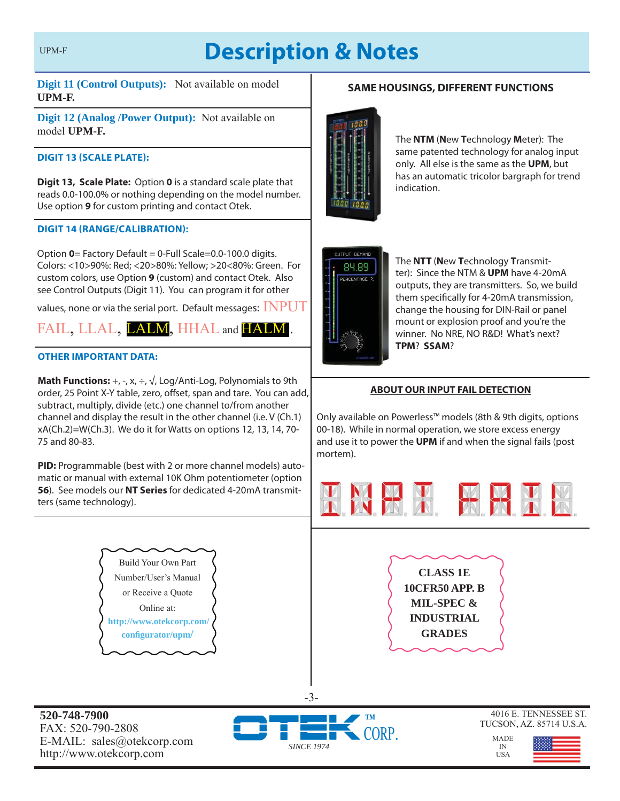## **Description & Notes**

**Digit 11 (Control Outputs):** Not available on model **UPM-F.**

**Digit 12 (Analog /Power Output):** Not available on model **UPM-F.**

#### **DIGIT 13 (SCALE PLATE):**

**Digit 13, Scale Plate:** Option **0** is a standard scale plate that reads 0.0-100.0% or nothing depending on the model number. Use option **9** for custom printing and contact Otek.

#### **DIGIT 14 (RANGE/CALIBRATION):**

Option **0**= Factory Default = 0-Full Scale=0.0-100.0 digits. Colors: <10>90%: Red; <20>80%: Yellow; >20<80%: Green. For custom colors, use Option **9** (custom) and contact Otek. Also see Control Outputs (Digit 11). You can program it for other

values, none or via the serial port. Default messages:  $\bf{INPUT}$ 

FAIL, LLAL, LALM, HHAL and HALM.

#### **OTHER IMPORTANT DATA:**

**520-748-7900** FAX: 520-790-2808

E-MAIL: sales@otekcorp.com http://www.otekcorp.com

**Math Functions:**  $+$ ,  $-$ ,  $x$ ,  $\div$ ,  $\sqrt{ }$ , Log/Anti-Log, Polynomials to 9th order, 25 Point X-Y table, zero, offset, span and tare. You can add, subtract, multiply, divide (etc.) one channel to/from another channel and display the result in the other channel (i.e. V (Ch.1) xA(Ch.2)=W(Ch.3). We do it for Watts on options 12, 13, 14, 70- 75 and 80-83.

**PID:** Programmable (best with 2 or more channel models) automatic or manual with external 10K Ohm potentiometer (option **56**). See models our **NT Series** for dedicated 4-20mA transmitters (same technology).

> Build Your Own Part Number/User's Manual or Receive a Quote Online at:  **http://www.otekcorp.com/ confi gurator/upm/**



The **NTM** (**N**ew **T**echnology **M**eter): The same patented technology for analog input only. All else is the same as the **UPM**, but has an automatic tricolor bargraph for trend indication.



*SINCE 1974*

-3-

The **NTT** (**N**ew **T**echnology **T**ransmitter): Since the NTM & **UPM** have 4-20mA outputs, they are transmitters. So, we build them specifically for 4-20mA transmission, change the housing for DIN-Rail or panel mount or explosion proof and you're the winner. No NRE, NO R&D! What's next? **TPM**? **SSAM**?

#### **ABOUT OUR INPUT FAIL DETECTION**

Only available on Powerless™ models (8th & 9th digits, options 00-18). While in normal operation, we store excess energy and use it to power the **UPM** if and when the signal fails (post mortem).



**CLASS 1E 10CFR50 APP. B MIL-SPEC & INDUSTRIAL GRADES**

4016 E. TENNESSEE ST. TUCSON, AZ. 85714 U.S.A.

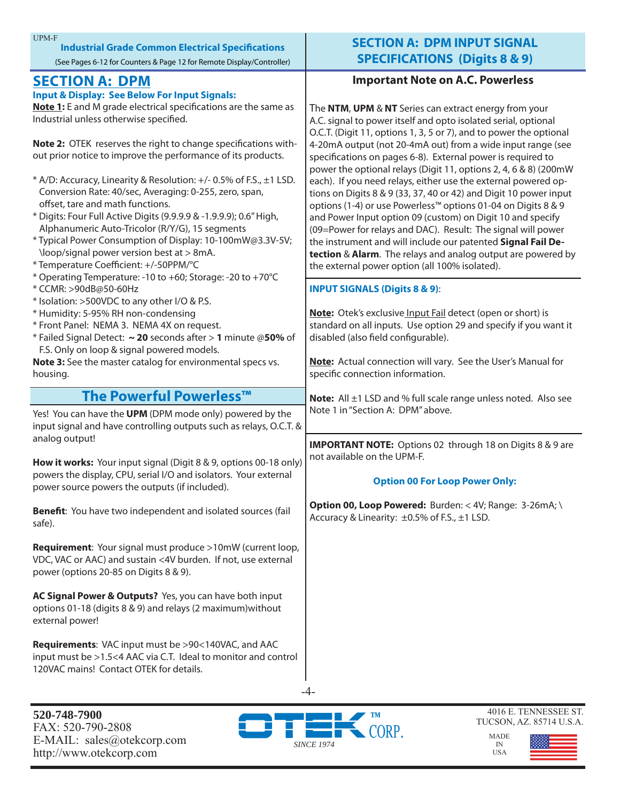| <b>UPM-F</b><br><b>Industrial Grade Common Electrical Specifications</b>                                                       | <b>SECTION A: DPM INPUT SIGNAL</b>                                                                                              |
|--------------------------------------------------------------------------------------------------------------------------------|---------------------------------------------------------------------------------------------------------------------------------|
| (See Pages 6-12 for Counters & Page 12 for Remote Display/Controller)                                                          | <b>SPECIFICATIONS (Digits 8 &amp; 9)</b>                                                                                        |
| <b>SECTION A: DPM</b>                                                                                                          | <b>Important Note on A.C. Powerless</b>                                                                                         |
| <b>Input &amp; Display: See Below For Input Signals:</b>                                                                       |                                                                                                                                 |
| Note 1: E and M grade electrical specifications are the same as                                                                | The NTM, UPM & NT Series can extract energy from your                                                                           |
| Industrial unless otherwise specified.                                                                                         | A.C. signal to power itself and opto isolated serial, optional                                                                  |
|                                                                                                                                | O.C.T. (Digit 11, options 1, 3, 5 or 7), and to power the optional                                                              |
| Note 2: OTEK reserves the right to change specifications with-<br>out prior notice to improve the performance of its products. | 4-20mA output (not 20-4mA out) from a wide input range (see                                                                     |
|                                                                                                                                | specifications on pages 6-8). External power is required to<br>power the optional relays (Digit 11, options 2, 4, 6 & 8) (200mW |
| * A/D: Accuracy, Linearity & Resolution: +/- 0.5% of F.S., ±1 LSD.                                                             | each). If you need relays, either use the external powered op-                                                                  |
| Conversion Rate: 40/sec, Averaging: 0-255, zero, span,                                                                         | tions on Digits 8 & 9 (33, 37, 40 or 42) and Digit 10 power input                                                               |
| offset, tare and math functions.                                                                                               | options (1-4) or use Powerless™ options 01-04 on Digits 8 & 9                                                                   |
| * Digits: Four Full Active Digits (9.9.9.9 & -1.9.9.9); 0.6" High,                                                             | and Power Input option 09 (custom) on Digit 10 and specify                                                                      |
| Alphanumeric Auto-Tricolor (R/Y/G), 15 segments                                                                                | (09=Power for relays and DAC). Result: The signal will power                                                                    |
| * Typical Power Consumption of Display: 10-100mW@3.3V-5V;<br>\loop/signal power version best at > 8mA.                         | the instrument and will include our patented Signal Fail De-                                                                    |
| * Temperature Coefficient: +/-50PPM/°C                                                                                         | tection & Alarm. The relays and analog output are powered by<br>the external power option (all 100% isolated).                  |
| * Operating Temperature: -10 to +60; Storage: -20 to +70°C                                                                     |                                                                                                                                 |
| * CCMR: >90dB@50-60Hz                                                                                                          | <b>INPUT SIGNALS (Digits 8 &amp; 9):</b>                                                                                        |
| * Isolation: >500VDC to any other I/O & P.S.                                                                                   |                                                                                                                                 |
| * Humidity: 5-95% RH non-condensing                                                                                            | Note: Otek's exclusive Input Fail detect (open or short) is                                                                     |
| * Front Panel: NEMA 3. NEMA 4X on request.<br>* Failed Signal Detect: ~ 20 seconds after > 1 minute @50% of                    | standard on all inputs. Use option 29 and specify if you want it<br>disabled (also field configurable).                         |
| F.S. Only on loop & signal powered models.                                                                                     |                                                                                                                                 |
| Note 3: See the master catalog for environmental specs vs.                                                                     | Note: Actual connection will vary. See the User's Manual for                                                                    |
| housing.                                                                                                                       | specific connection information.                                                                                                |
| The Powerful Powerless™                                                                                                        | <b>Note:</b> All ±1 LSD and % full scale range unless noted. Also see                                                           |
| Yes! You can have the UPM (DPM mode only) powered by the                                                                       | Note 1 in "Section A: DPM" above.                                                                                               |
| input signal and have controlling outputs such as relays, O.C.T. &                                                             |                                                                                                                                 |
| analog output!                                                                                                                 |                                                                                                                                 |
|                                                                                                                                | <b>IMPORTANT NOTE:</b> Options 02 through 18 on Digits 8 & 9 are<br>not available on the UPM-F.                                 |
| How it works: Your input signal (Digit 8 & 9, options 00-18 only)                                                              |                                                                                                                                 |
| powers the display, CPU, serial I/O and isolators. Your external                                                               | <b>Option 00 For Loop Power Only:</b>                                                                                           |
| power source powers the outputs (if included).                                                                                 |                                                                                                                                 |
| Benefit: You have two independent and isolated sources (fail                                                                   | Option 00, Loop Powered: Burden: < 4V; Range: 3-26mA; \                                                                         |
| safe).                                                                                                                         | Accuracy & Linearity: ±0.5% of F.S., ±1 LSD.                                                                                    |
|                                                                                                                                |                                                                                                                                 |
| Requirement: Your signal must produce >10mW (current loop,<br>VDC, VAC or AAC) and sustain <4V burden. If not, use external    |                                                                                                                                 |
| power (options 20-85 on Digits 8 & 9).                                                                                         |                                                                                                                                 |
|                                                                                                                                |                                                                                                                                 |
| AC Signal Power & Outputs? Yes, you can have both input                                                                        |                                                                                                                                 |
| options 01-18 (digits 8 & 9) and relays (2 maximum) without                                                                    |                                                                                                                                 |
| external power!                                                                                                                |                                                                                                                                 |
| Requirements: VAC input must be >90<140VAC, and AAC                                                                            |                                                                                                                                 |
| input must be >1.5<4 AAC via C.T. Ideal to monitor and control                                                                 |                                                                                                                                 |
| 120VAC mains! Contact OTEK for details.                                                                                        |                                                                                                                                 |
|                                                                                                                                |                                                                                                                                 |
|                                                                                                                                |                                                                                                                                 |



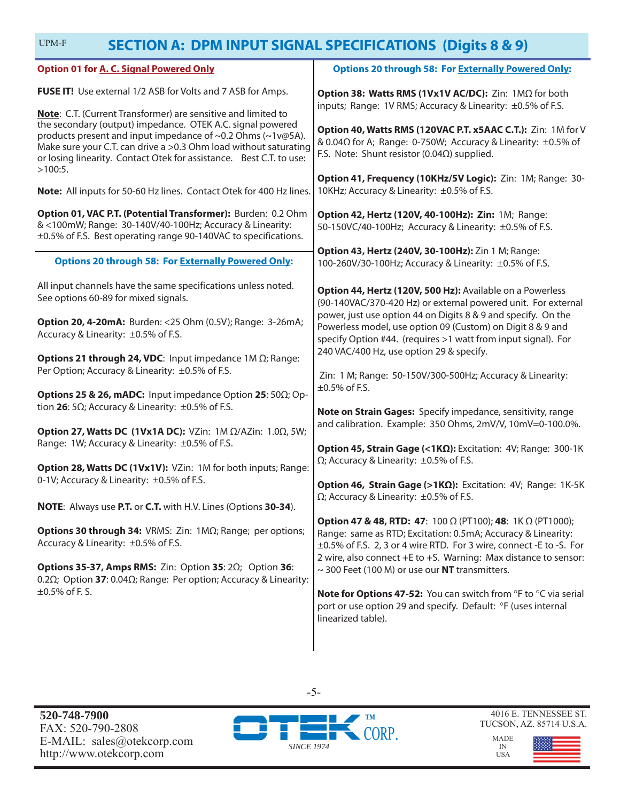| UPM-F<br><b>SECTION A: DPM INPUT SIGNAL SPECIFICATIONS (Digits 8 &amp; 9)</b>                                                                                                                                                                                                                                                                       |                                                                                                                                                                                                                                                                                                      |  |  |
|-----------------------------------------------------------------------------------------------------------------------------------------------------------------------------------------------------------------------------------------------------------------------------------------------------------------------------------------------------|------------------------------------------------------------------------------------------------------------------------------------------------------------------------------------------------------------------------------------------------------------------------------------------------------|--|--|
| <b>Option 01 for A. C. Signal Powered Only</b>                                                                                                                                                                                                                                                                                                      | <b>Options 20 through 58: For Externally Powered Only:</b>                                                                                                                                                                                                                                           |  |  |
| FUSE IT! Use external 1/2 ASB for Volts and 7 ASB for Amps.                                                                                                                                                                                                                                                                                         | Option 38: Watts RMS (1Vx1V AC/DC): Zin: 1MΩ for both<br>inputs; Range: 1V RMS; Accuracy & Linearity: ±0.5% of F.S.                                                                                                                                                                                  |  |  |
| Note: C.T. (Current Transformer) are sensitive and limited to<br>the secondary (output) impedance. OTEK A.C. signal powered<br>products present and input impedance of ~0.2 Ohms (~1v@5A).<br>Make sure your C.T. can drive a >0.3 Ohm load without saturating<br>or losing linearity. Contact Otek for assistance. Best C.T. to use:<br>$>100:5$ . | Option 40, Watts RMS (120VAC P.T. x5AAC C.T.): Zin: 1M for V<br>& 0.04Ω for A; Range: 0-750W; Accuracy & Linearity: ±0.5% of<br>F.S. Note: Shunt resistor (0.04 $\Omega$ ) supplied.                                                                                                                 |  |  |
| Note: All inputs for 50-60 Hz lines. Contact Otek for 400 Hz lines.                                                                                                                                                                                                                                                                                 | Option 41, Frequency (10KHz/5V Logic): Zin: 1M; Range: 30-<br>10KHz; Accuracy & Linearity: ±0.5% of F.S.                                                                                                                                                                                             |  |  |
| Option 01, VAC P.T. (Potential Transformer): Burden: 0.2 Ohm<br>& <100mW; Range: 30-140V/40-100Hz; Accuracy & Linearity:<br>±0.5% of F.S. Best operating range 90-140VAC to specifications.                                                                                                                                                         | Option 42, Hertz (120V, 40-100Hz): Zin: 1M; Range:<br>50-150VC/40-100Hz; Accuracy & Linearity: ±0.5% of F.S.                                                                                                                                                                                         |  |  |
| <b>Options 20 through 58: For Externally Powered Only:</b>                                                                                                                                                                                                                                                                                          | Option 43, Hertz (240V, 30-100Hz): Zin 1 M; Range:<br>100-260V/30-100Hz; Accuracy & Linearity: ±0.5% of F.S.                                                                                                                                                                                         |  |  |
| All input channels have the same specifications unless noted.<br>See options 60-89 for mixed signals.<br>Option 20, 4-20mA: Burden: <25 Ohm (0.5V); Range: 3-26mA;                                                                                                                                                                                  | Option 44, Hertz (120V, 500 Hz): Available on a Powerless<br>(90-140VAC/370-420 Hz) or external powered unit. For external<br>power, just use option 44 on Digits 8 & 9 and specify. On the<br>Powerless model, use option 09 (Custom) on Digit 8 & 9 and                                            |  |  |
| Accuracy & Linearity: ±0.5% of F.S.<br><b>Options 21 through 24, VDC:</b> Input impedance $1M \Omega$ ; Range:<br>Per Option; Accuracy & Linearity: ±0.5% of F.S.<br>Options 25 & 26, mADC: Input impedance Option 25: 50Ω; Op-                                                                                                                     | specify Option #44. (requires >1 watt from input signal). For<br>240 VAC/400 Hz, use option 29 & specify.<br>Zin: 1 M; Range: 50-150V/300-500Hz; Accuracy & Linearity:<br>$\pm 0.5\%$ of F.S.                                                                                                        |  |  |
| tion 26: 5 $\Omega$ ; Accuracy & Linearity: $\pm 0.5\%$ of F.S.<br><b>Option 27, Watts DC (1Vx1A DC):</b> VZin: 1M Ω/AZin: 1.0Ω, 5W;<br>Range: 1W; Accuracy & Linearity: ±0.5% of F.S.                                                                                                                                                              | Note on Strain Gages: Specify impedance, sensitivity, range<br>and calibration. Example: 350 Ohms, 2mV/V, 10mV=0-100.0%.                                                                                                                                                                             |  |  |
| Option 28, Watts DC (1Vx1V): VZin: 1M for both inputs; Range:<br>0-1V; Accuracy & Linearity: ±0.5% of F.S.                                                                                                                                                                                                                                          | Option 45, Strain Gage (<1ΚΩ): Excitation: 4V; Range: 300-1K<br>$\Omega$ ; Accuracy & Linearity: $\pm 0.5\%$ of F.S.<br>Option 46, Strain Gage (>1ΚΩ): Excitation: 4V; Range: 1K-5K                                                                                                                  |  |  |
| NOTE: Always use P.T. or C.T. with H.V. Lines (Options 30-34).                                                                                                                                                                                                                                                                                      | $\Omega$ ; Accuracy & Linearity: $\pm 0.5\%$ of F.S.                                                                                                                                                                                                                                                 |  |  |
| <b>Options 30 through 34: VRMS: Zin: 1ΜΩ; Range; per options;</b><br>Accuracy & Linearity: ±0.5% of F.S.                                                                                                                                                                                                                                            | <b>Option 47 &amp; 48, RTD: 47:</b> 100 $\Omega$ (PT100); <b>48:</b> 1K $\Omega$ (PT1000);<br>Range: same as RTD; Excitation: 0.5mA; Accuracy & Linearity:<br>±0.5% of F.S. 2, 3 or 4 wire RTD. For 3 wire, connect -E to -S. For<br>2 wire, also connect +E to +S. Warning: Max distance to sensor: |  |  |
| <b>Options 35-37, Amps RMS:</b> Zin: Option 35: $2\Omega$ ; Option 36:<br>0.2 $\Omega$ ; Option 37: 0.04 $\Omega$ ; Range: Per option; Accuracy & Linearity:<br>$\pm 0.5\%$ of F. S.                                                                                                                                                                | $\sim$ 300 Feet (100 M) or use our NT transmitters.<br><b>Note for Options 47-52:</b> You can switch from °F to °C via serial<br>port or use option 29 and specify. Default: °F (uses internal<br>linearized table).                                                                                 |  |  |



-5-

4016 E. TENNESSEE ST. TUCSON, AZ. 85714 U.S.A.

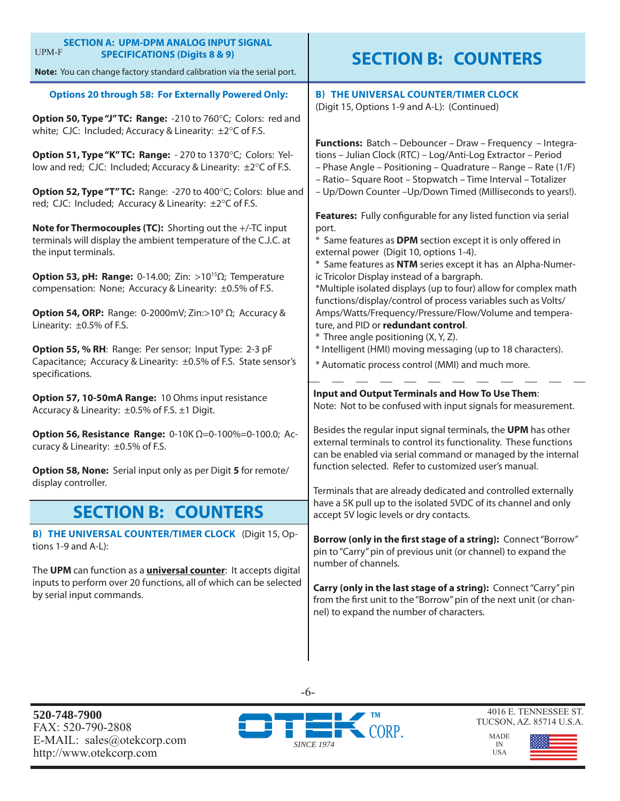| <b>SECTION A: UPM-DPM ANALOG INPUT SIGNAL</b><br>UPM-F<br><b>SPECIFICATIONS (Digits 8 &amp; 9)</b><br>Note: You can change factory standard calibration via the serial port.                                                                                                                                                                                                                                                                                                                                                                                                                                                                                                                                                                                                                                                                                                      | <b>SECTION B: COUNTERS</b>                                                                                                                                                                                                                                                                                                                                                                                                                                                                                                                                                                                                                                                                                                                                                                                                                                                                                                                                        |
|-----------------------------------------------------------------------------------------------------------------------------------------------------------------------------------------------------------------------------------------------------------------------------------------------------------------------------------------------------------------------------------------------------------------------------------------------------------------------------------------------------------------------------------------------------------------------------------------------------------------------------------------------------------------------------------------------------------------------------------------------------------------------------------------------------------------------------------------------------------------------------------|-------------------------------------------------------------------------------------------------------------------------------------------------------------------------------------------------------------------------------------------------------------------------------------------------------------------------------------------------------------------------------------------------------------------------------------------------------------------------------------------------------------------------------------------------------------------------------------------------------------------------------------------------------------------------------------------------------------------------------------------------------------------------------------------------------------------------------------------------------------------------------------------------------------------------------------------------------------------|
| <b>Options 20 through 58: For Externally Powered Only:</b><br>Option 50, Type "J" TC: Range: -210 to 760°C; Colors: red and<br>white; CJC: Included; Accuracy & Linearity: ±2°C of F.S.<br>Option 51, Type "K" TC: Range: - 270 to 1370°C; Colors: Yel-<br>low and red; CJC: Included; Accuracy & Linearity: ±2°C of F.S.<br>Option 52, Type "T" TC: Range: -270 to 400°C; Colors: blue and<br>red; CJC: Included; Accuracy & Linearity: ±2°C of F.S.<br>Note for Thermocouples (TC): Shorting out the +/-TC input<br>terminals will display the ambient temperature of the C.J.C. at<br>the input terminals.<br><b>Option 53, pH: Range:</b> 0-14.00; Zin: >10 <sup>15</sup> $\Omega$ ; Temperature<br>compensation: None; Accuracy & Linearity: ±0.5% of F.S.<br><b>Option 54, ORP:</b> Range: 0-2000mV; Zin:>10 <sup>9</sup> $\Omega$ ; Accuracy &<br>Linearity: ±0.5% of F.S. | <b>B) THE UNIVERSAL COUNTER/TIMER CLOCK</b><br>(Digit 15, Options 1-9 and A-L): (Continued)<br>Functions: Batch - Debouncer - Draw - Frequency - Integra-<br>tions - Julian Clock (RTC) - Log/Anti-Log Extractor - Period<br>- Phase Angle - Positioning - Quadrature - Range - Rate (1/F)<br>- Ratio- Square Root - Stopwatch - Time Interval - Totalizer<br>- Up/Down Counter - Up/Down Timed (Milliseconds to years!).<br>Features: Fully configurable for any listed function via serial<br>port.<br>* Same features as DPM section except it is only offered in<br>external power (Digit 10, options 1-4).<br>* Same features as NTM series except it has an Alpha-Numer-<br>ic Tricolor Display instead of a bargraph.<br>*Multiple isolated displays (up to four) allow for complex math<br>functions/display/control of process variables such as Volts/<br>Amps/Watts/Frequency/Pressure/Flow/Volume and tempera-<br>ture, and PID or redundant control. |
| Option 55, % RH: Range: Per sensor; Input Type: 2-3 pF<br>Capacitance; Accuracy & Linearity: ±0.5% of F.S. State sensor's<br>specifications.                                                                                                                                                                                                                                                                                                                                                                                                                                                                                                                                                                                                                                                                                                                                      | * Three angle positioning (X, Y, Z).<br>* Intelligent (HMI) moving messaging (up to 18 characters).<br>* Automatic process control (MMI) and much more.                                                                                                                                                                                                                                                                                                                                                                                                                                                                                                                                                                                                                                                                                                                                                                                                           |
| Option 57, 10-50mA Range: 10 Ohms input resistance<br>Accuracy & Linearity: ±0.5% of F.S. ±1 Digit.<br><b>Option 56, Resistance Range:</b> 0-10K $\Omega$ =0-100%=0-100.0; Ac-<br>curacy & Linearity: ±0.5% of F.S.<br>Option 58, None: Serial input only as per Digit 5 for remote/<br>display controller.                                                                                                                                                                                                                                                                                                                                                                                                                                                                                                                                                                       | Input and Output Terminals and How To Use Them:<br>Note: Not to be confused with input signals for measurement.<br>Besides the regular input signal terminals, the UPM has other<br>external terminals to control its functionality. These functions<br>can be enabled via serial command or managed by the internal<br>function selected. Refer to customized user's manual.<br>Terminals that are already dedicated and controlled externally                                                                                                                                                                                                                                                                                                                                                                                                                                                                                                                   |
| <b>SECTION B: COUNTERS</b>                                                                                                                                                                                                                                                                                                                                                                                                                                                                                                                                                                                                                                                                                                                                                                                                                                                        | have a 5K pull up to the isolated 5VDC of its channel and only<br>accept 5V logic levels or dry contacts.                                                                                                                                                                                                                                                                                                                                                                                                                                                                                                                                                                                                                                                                                                                                                                                                                                                         |
| <b>B) THE UNIVERSAL COUNTER/TIMER CLOCK</b> (Digit 15, Op-<br>tions $1-9$ and $A-L$ ):<br>The UPM can function as a <i>universal counter</i> : It accepts digital<br>inputs to perform over 20 functions, all of which can be selected<br>by serial input commands.                                                                                                                                                                                                                                                                                                                                                                                                                                                                                                                                                                                                               | Borrow (only in the first stage of a string): Connect "Borrow"<br>pin to "Carry" pin of previous unit (or channel) to expand the<br>number of channels.<br>Carry (only in the last stage of a string): Connect "Carry" pin<br>from the first unit to the "Borrow" pin of the next unit (or chan-<br>nel) to expand the number of characters.                                                                                                                                                                                                                                                                                                                                                                                                                                                                                                                                                                                                                      |

**520-748-7900** FAX: 520-790-2808 E-MAIL: sales@otekcorp.com http://www.otekcorp.com



-6-

4016 E. TENNESSEE ST. TUCSON, AZ. 85714 U.S.A.

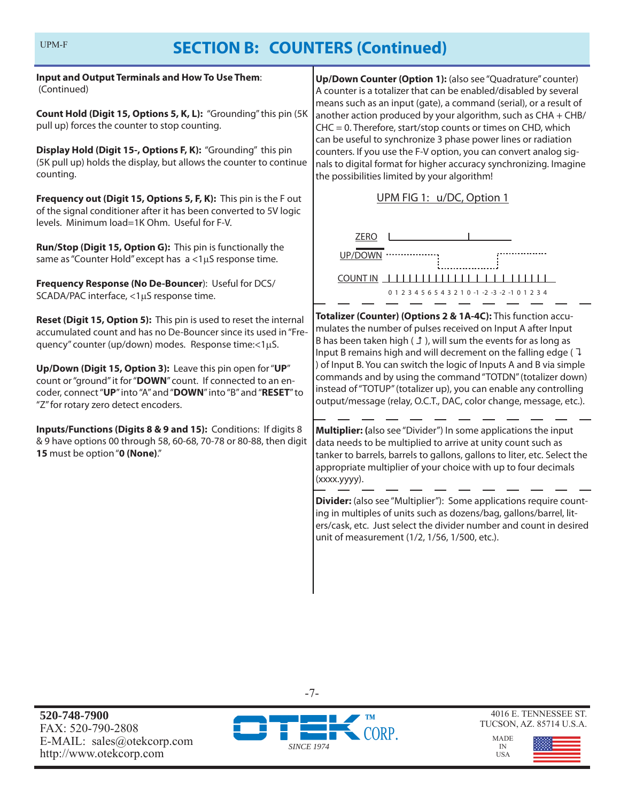**Input and Output Terminals and How To Use Them**: (Continued)

**Count Hold (Digit 15, Options 5, K, L):** "Grounding" this pin (5K pull up) forces the counter to stop counting.

**Display Hold (Digit 15-, Options F, K):** "Grounding" this pin (5K pull up) holds the display, but allows the counter to continue counting.

**Frequency out (Digit 15, Options 5, F, K):** This pin is the F out of the signal conditioner after it has been converted to 5V logic levels. Minimum load=1K Ohm. Useful for F-V.

**Run/Stop (Digit 15, Option G):** This pin is functionally the same as "Counter Hold" except has  $a < 1 \mu S$  response time.

**Frequency Response (No De-Bouncer**): Useful for DCS/ SCADA/PAC interface,  $<$ 1 $\mu$ S response time.

**Reset (Digit 15, Option 5):** This pin is used to reset the internal accumulated count and has no De-Bouncer since its used in "Frequency" counter (up/down) modes. Response time:<1uS.

**Up/Down (Digit 15, Option 3):** Leave this pin open for "**UP**" count or "ground" it for "**DOWN**" count. If connected to an encoder, connect "**UP**" into "A" and "**DOWN**" into "B" and "**RESET**" to "Z" for rotary zero detect encoders.

**Inputs/Functions (Digits 8 & 9 and 15):** Conditions: If digits 8 & 9 have options 00 through 58, 60-68, 70-78 or 80-88, then digit **15** must be option "**0 (None)**."

**Up/Down Counter (Option 1):** (also see "Quadrature" counter) A counter is a totalizer that can be enabled/disabled by several means such as an input (gate), a command (serial), or a result of another action produced by your algorithm, such as CHA + CHB/ CHC = 0. Therefore, start/stop counts or times on CHD, which can be useful to synchronize 3 phase power lines or radiation counters. If you use the F-V option, you can convert analog signals to digital format for higher accuracy synchronizing. Imagine the possibilities limited by your algorithm!

UPM FIG 1: u/DC, Option 1



**Totalizer (Counter) (Options 2 & 1A-4C):** This function accumulates the number of pulses received on Input A after Input B has been taken high ( $\text{I}$ ), will sum the events for as long as Input B remains high and will decrement on the falling edge ( $\overline{1}$ ) of Input B. You can switch the logic of Inputs A and B via simple commands and by using the command "TOTDN" (totalizer down) instead of "TOTUP" (totalizer up), you can enable any controlling output/message (relay, O.C.T., DAC, color change, message, etc.).

**Multiplier: (**also see "Divider") In some applications the input data needs to be multiplied to arrive at unity count such as tanker to barrels, barrels to gallons, gallons to liter, etc. Select the appropriate multiplier of your choice with up to four decimals (xxxx.yyyy).

**Divider:** (also see "Multiplier"): Some applications require counting in multiples of units such as dozens/bag, gallons/barrel, liters/cask, etc. Just select the divider number and count in desired unit of measurement (1/2, 1/56, 1/500, etc.).

**520-748-7900** FAX: 520-790-2808 E-MAIL: sales@otekcorp.com http://www.otekcorp.com



-7-

4016 E. TENNESSEE ST. TUCSON, AZ. 85714 U.S.A.

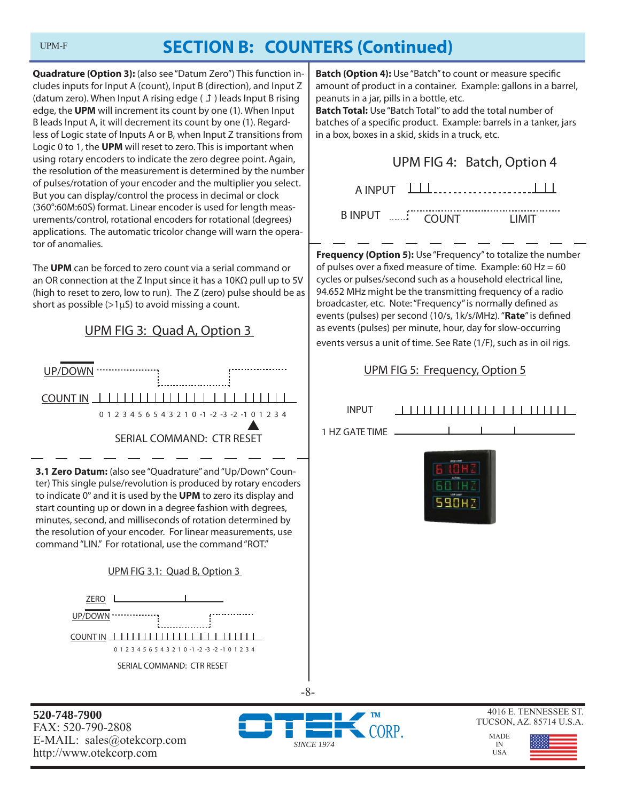**Quadrature (Option 3):** (also see "Datum Zero") This function includes inputs for Input A (count), Input B (direction), and Input Z (datum zero). When Input A rising edge  $(f)$  leads Input B rising edge, the **UPM** will increment its count by one (1). When Input B leads Input A, it will decrement its count by one (1). Regardless of Logic state of Inputs A or B, when Input Z transitions from Logic 0 to 1, the **UPM** will reset to zero. This is important when using rotary encoders to indicate the zero degree point. Again, the resolution of the measurement is determined by the number of pulses/rotation of your encoder and the multiplier you select. But you can display/control the process in decimal or clock (360°:60M:60S) format. Linear encoder is used for length measurements/control, rotational encoders for rotational (degrees) applications. The automatic tricolor change will warn the operator of anomalies.

The **UPM** can be forced to zero count via a serial command or an OR connection at the Z Input since it has a 10KΩ pull up to 5V (high to reset to zero, low to run). The Z (zero) pulse should be as short as possible ( $>1\mu S$ ) to avoid missing a count.



ter) This single pulse/revolution is produced by rotary encoders to indicate 0° and it is used by the **UPM** to zero its display and start counting up or down in a degree fashion with degrees, minutes, second, and milliseconds of rotation determined by the resolution of your encoder. For linear measurements, use command "LIN." For rotational, use the command "ROT."

#### UPM FIG 3.1: Quad B, Option 3



**Batch (Option 4):** Use "Batch" to count or measure specific amount of product in a container. Example: gallons in a barrel, peanuts in a jar, pills in a bottle, etc.

**Batch Total:** Use "Batch Total" to add the total number of batches of a specific product. Example: barrels in a tanker, jars in a box, boxes in a skid, skids in a truck, etc.

|                      | UPM FIG 4: Batch, Option 4 |
|----------------------|----------------------------|
| $A INPUT$ $\Box\Box$ |                            |
| BINPUT  COUNT        | <b>TIMIT</b>               |

**Frequency (Option 5):** Use "Frequency" to totalize the number of pulses over a fixed measure of time. Example:  $60$  Hz =  $60$ cycles or pulses/second such as a household electrical line, 94.652 MHz might be the transmitting frequency of a radio broadcaster, etc. Note: "Frequency" is normally defined as events (pulses) per second (10/s, 1k/s/MHz). "Rate" is defined as events (pulses) per minute, hour, day for slow-occurring events versus a unit of time. See Rate (1/F), such as in oil rigs.

### UPM FIG 5: Frequency, Option 5

| <b>INPUT</b>   | ,,,,,,,,,,,,,,,,,,,,,,,,                          |
|----------------|---------------------------------------------------|
| 1 HZ GATE TIME |                                                   |
|                | (agest 40)<br>44'0.04<br>LEW LINE<br><b>590HZ</b> |
|                |                                                   |
|                |                                                   |

**520-748-7900** FAX: 520-790-2808 E-MAIL: sales@otekcorp.com http://www.otekcorp.com



-8-





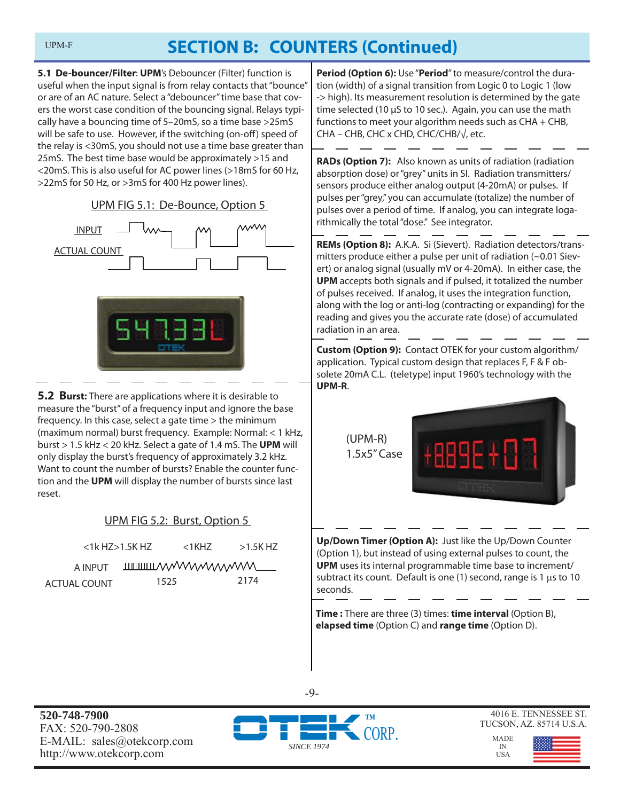**5.1 De-bouncer/Filter**: **UPM**'s Debouncer (Filter) function is useful when the input signal is from relay contacts that "bounce" or are of an AC nature. Select a "debouncer" time base that covers the worst case condition of the bouncing signal. Relays typically have a bouncing time of 5–20mS, so a time base >25mS will be safe to use. However, if the switching (on-off) speed of the relay is <30mS, you should not use a time base greater than 25mS. The best time base would be approximately >15 and <20mS. This is also useful for AC power lines (>18mS for 60 Hz, >22mS for 50 Hz, or >3mS for 400 Hz power lines).

UPM FIG 5.1: De-Bounce, Option 5





**5.2 Burst:** There are applications where it is desirable to measure the "burst" of a frequency input and ignore the base frequency. In this case, select a gate time > the minimum (maximum normal) burst frequency. Example: Normal: < 1 kHz, burst > 1.5 kHz < 20 kHz. Select a gate of 1.4 mS. The **UPM** will only display the burst's frequency of approximately 3.2 kHz. Want to count the number of bursts? Enable the counter function and the **UPM** will display the number of bursts since last reset.

### UPM FIG 5.2: Burst, Option 5

|              | $<$ 1 $k$ HZ $>$ 1.5K HZ | $<$ 1KHZ $<$ | $>1.5$ K HZ                                |
|--------------|--------------------------|--------------|--------------------------------------------|
| A INPUT      |                          |              | <b>THILITION AND MANAGEMENT CONTROLLER</b> |
| ACTUAL COUNT | 1525                     |              | 2174                                       |

**Period (Option 6):** Use "**Period**" to measure/control the duration (width) of a signal transition from Logic 0 to Logic 1 (low -> high). Its measurement resolution is determined by the gate time selected (10  $\mu$ S to 10 sec.). Again, you can use the math functions to meet your algorithm needs such as CHA + CHB, CHA – CHB, CHC x CHD, CHC/CHB/√, etc.

**RADs (Option 7):** Also known as units of radiation (radiation absorption dose) or "grey" units in SI. Radiation transmitters/ sensors produce either analog output (4-20mA) or pulses. If pulses per "grey," you can accumulate (totalize) the number of pulses over a period of time. If analog, you can integrate logarithmically the total "dose." See integrator.

**REMs (Option 8):** A.K.A. Si (Sievert). Radiation detectors/transmitters produce either a pulse per unit of radiation (~0.01 Sievert) or analog signal (usually mV or 4-20mA). In either case, the **UPM** accepts both signals and if pulsed, it totalized the number of pulses received. If analog, it uses the integration function, along with the log or anti-log (contracting or expanding) for the reading and gives you the accurate rate (dose) of accumulated radiation in an area.

**Custom (Option 9):** Contact OTEK for your custom algorithm/ application. Typical custom design that replaces F, F & F obsolete 20mA C.L. (teletype) input 1960's technology with the **UPM-R**.

> (UPM-R) 1.5x5" Case



**Up/Down Timer (Option A):** Just like the Up/Down Counter (Option 1), but instead of using external pulses to count, the **UPM** uses its internal programmable time base to increment/ subtract its count. Default is one (1) second, range is 1  $\mu$ s to 10 seconds.

**Time :** There are three (3) times: **time interval** (Option B), **elapsed time** (Option C) and **range time** (Option D).

**520-748-7900** FAX: 520-790-2808 E-MAIL: sales@otekcorp.com http://www.otekcorp.com



-9-

4016 E. TENNESSEE ST. TUCSON, AZ. 85714 U.S.A.

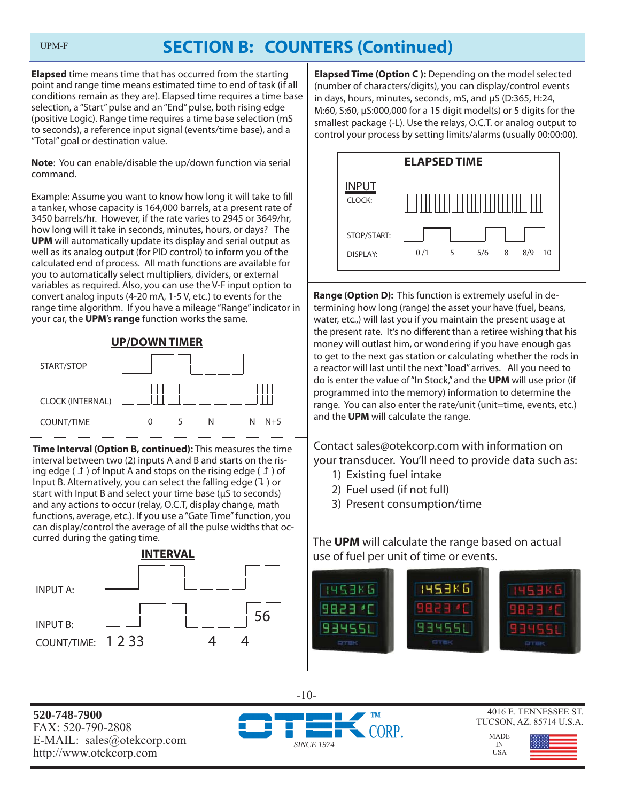**Elapsed** time means time that has occurred from the starting point and range time means estimated time to end of task (if all conditions remain as they are). Elapsed time requires a time base selection, a "Start" pulse and an "End" pulse, both rising edge (positive Logic). Range time requires a time base selection (mS to seconds), a reference input signal (events/time base), and a "Total" goal or destination value.

**Note**: You can enable/disable the up/down function via serial command.

Example: Assume you want to know how long it will take to fill a tanker, whose capacity is 164,000 barrels, at a present rate of 3450 barrels/hr. However, if the rate varies to 2945 or 3649/hr, how long will it take in seconds, minutes, hours, or days? The **UPM** will automatically update its display and serial output as well as its analog output (for PID control) to inform you of the calculated end of process. All math functions are available for you to automatically select multipliers, dividers, or external variables as required. Also, you can use the V-F input option to convert analog inputs (4-20 mA, 1-5 V, etc.) to events for the range time algorithm. If you have a mileage "Range" indicator in your car, the **UPM**'s **range** function works the same.



**Time Interval (Option B, continued):** This measures the time interval between two (2) inputs A and B and starts on the rising edge ( $\perp$ ) of Input A and stops on the rising edge ( $\perp$ ) of Input B. Alternatively, you can select the falling edge  $(1)$  or start with Input B and select your time base (μS to seconds) and any actions to occur (relay, O.C.T, display change, math functions, average, etc.). If you use a "Gate Time" function, you can display/control the average of all the pulse widths that occurred during the gating time.



**Elapsed Time (Option C ):** Depending on the model selected (number of characters/digits), you can display/control events in days, hours, minutes, seconds, mS, and μS (D:365, H:24, M:60, S:60, μS:000,000 for a 15 digit model(s) or 5 digits for the smallest package (-L). Use the relays, O.C.T. or analog output to control your process by setting limits/alarms (usually 00:00:00).



**Range (Option D):** This function is extremely useful in determining how long (range) the asset your have (fuel, beans, water, etc.,) will last you if you maintain the present usage at the present rate. It's no different than a retiree wishing that his money will outlast him, or wondering if you have enough gas to get to the next gas station or calculating whether the rods in a reactor will last until the next "load" arrives. All you need to do is enter the value of "In Stock," and the **UPM** will use prior (if programmed into the memory) information to determine the range. You can also enter the rate/unit (unit=time, events, etc.) and the **UPM** will calculate the range.

Contact sales@otekcorp.com with information on your transducer. You'll need to provide data such as:

- 1) Existing fuel intake
- 2) Fuel used (if not full)
- 3) Present consumption/time

The **UPM** will calculate the range based on actual use of fuel per unit of time or events.



**520-748-7900** FAX: 520-790-2808 E-MAIL: sales@otekcorp.com http://www.otekcorp.com





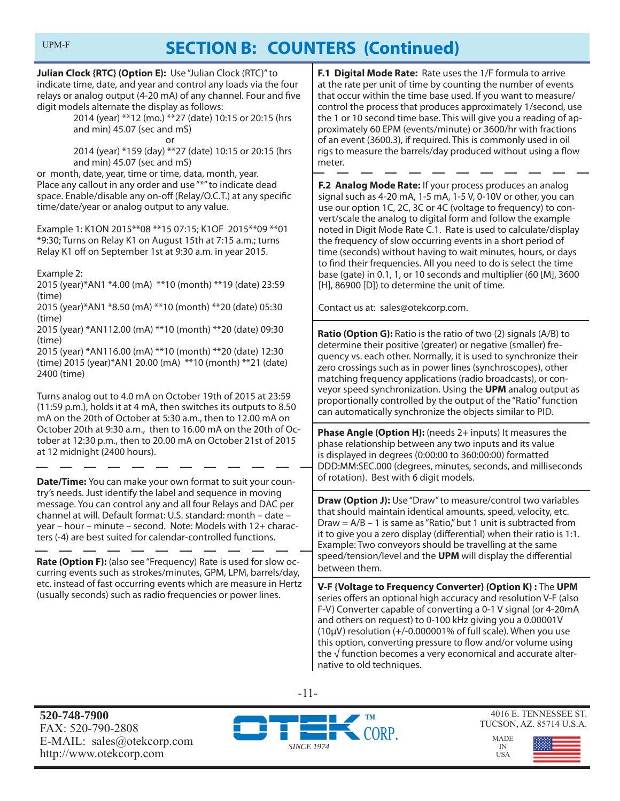**Julian Clock {RTC} (Option E):** Use "Julian Clock (RTC)" to indicate time, date, and year and control any loads via the four relays or analog output (4-20 mA) of any channel. Four and five digit models alternate the display as follows:

 2014 (year) \*\*12 (mo.) \*\*27 (date) 10:15 or 20:15 (hrs and min) 45.07 (sec and mS)

or

 2014 (year) \*159 (day) \*\*27 (date) 10:15 or 20:15 (hrs and min) 45.07 (sec and mS)

or month, date, year, time or time, data, month, year. Place any callout in any order and use "\*" to indicate dead space. Enable/disable any on-off (Relay/O.C.T.) at any specific time/date/year or analog output to any value.

Example 1: K1ON 2015\*\*08 \*\*15 07:15; K1OF 2015\*\*09 \*\*01 \*9:30; Turns on Relay K1 on August 15th at 7:15 a.m.; turns Relay K1 off on September 1st at 9:30 a.m. in year 2015.

Example 2:

2015 (year)\*AN1 \*4.00 (mA) \*\*10 (month) \*\*19 (date) 23:59 (time)

2015 (year)\*AN1 \*8.50 (mA) \*\*10 (month) \*\*20 (date) 05:30 (time)

2015 (year) \*AN112.00 (mA) \*\*10 (month) \*\*20 (date) 09:30 (time)

2015 (year) \*AN116.00 (mA) \*\*10 (month) \*\*20 (date) 12:30 (time) 2015 (year)\*AN1 20.00 (mA) \*\*10 (month) \*\*21 (date) 2400 (time)

Turns analog out to 4.0 mA on October 19th of 2015 at 23:59 (11:59 p.m.), holds it at 4 mA, then switches its outputs to 8.50 mA on the 20th of October at 5:30 a.m., then to 12.00 mA on October 20th at 9:30 a.m., then to 16.00 mA on the 20th of October at 12:30 p.m., then to 20.00 mA on October 21st of 2015 at 12 midnight (2400 hours).

**Date/Time:** You can make your own format to suit your country's needs. Just identify the label and sequence in moving message. You can control any and all four Relays and DAC per channel at will. Default format: U.S. standard: month – date – year – hour – minute – second. Note: Models with 12+ characters (-4) are best suited for calendar-controlled functions.

**Rate (Option F):** (also see "Frequency) Rate is used for slow occurring events such as strokes/minutes, GPM, LPM, barrels/day, etc. instead of fast occurring events which are measure in Hertz (usually seconds) such as radio frequencies or power lines.

**F.1 Digital Mode Rate:** Rate uses the 1/F formula to arrive at the rate per unit of time by counting the number of events that occur within the time base used. If you want to measure/ control the process that produces approximately 1/second, use the 1 or 10 second time base. This will give you a reading of approximately 60 EPM (events/minute) or 3600/hr with fractions of an event (3600.3), if required. This is commonly used in oil rigs to measure the barrels/day produced without using a flow meter.

**F.2 Analog Mode Rate:** If your process produces an analog signal such as 4-20 mA, 1-5 mA, 1-5 V, 0-10V or other, you can use our option 1C, 2C, 3C or 4C (voltage to frequency) to convert/scale the analog to digital form and follow the example noted in Digit Mode Rate C.1. Rate is used to calculate/display the frequency of slow occurring events in a short period of time (seconds) without having to wait minutes, hours, or days to find their frequencies. All you need to do is select the time base (gate) in 0.1, 1, or 10 seconds and multiplier (60 [M], 3600 [H], 86900 [D]) to determine the unit of time.

Contact us at: sales@otekcorp.com.

**Ratio (Option G):** Ratio is the ratio of two (2) signals (A/B) to determine their positive (greater) or negative (smaller) frequency vs. each other. Normally, it is used to synchronize their zero crossings such as in power lines (synchroscopes), other matching frequency applications (radio broadcasts), or conveyor speed synchronization. Using the **UPM** analog output as proportionally controlled by the output of the "Ratio" function can automatically synchronize the objects similar to PID.

**Phase Angle (Option H):** (needs 2+ inputs) It measures the phase relationship between any two inputs and its value is displayed in degrees (0:00:00 to 360:00:00) formatted DDD:MM:SEC.000 (degrees, minutes, seconds, and milliseconds of rotation). Best with 6 digit models.

**Draw (Option J):** Use "Draw" to measure/control two variables that should maintain identical amounts, speed, velocity, etc. Draw =  $A/B - 1$  is same as "Ratio," but 1 unit is subtracted from it to give you a zero display (differential) when their ratio is 1:1. Example: Two conveyors should be travelling at the same speed/tension/level and the UPM will display the differential between them.

**V-F {Voltage to Frequency Converter} (Option K) :** The **UPM** series offers an optional high accuracy and resolution V-F (also F-V) Converter capable of converting a 0-1 V signal (or 4-20mA and others on request) to 0-100 kHz giving you a 0.00001V  $(10\mu V)$  resolution  $(+/-0.000001\%$  of full scale). When you use this option, converting pressure to flow and/or volume using the √ function becomes a very economical and accurate alternative to old techniques.

-11-

**520-748-7900** FAX: 520-790-2808 E-MAIL: sales@otekcorp.com http://www.otekcorp.com



4016 E. TENNESSEE ST. TUCSON, AZ. 85714 U.S.A.

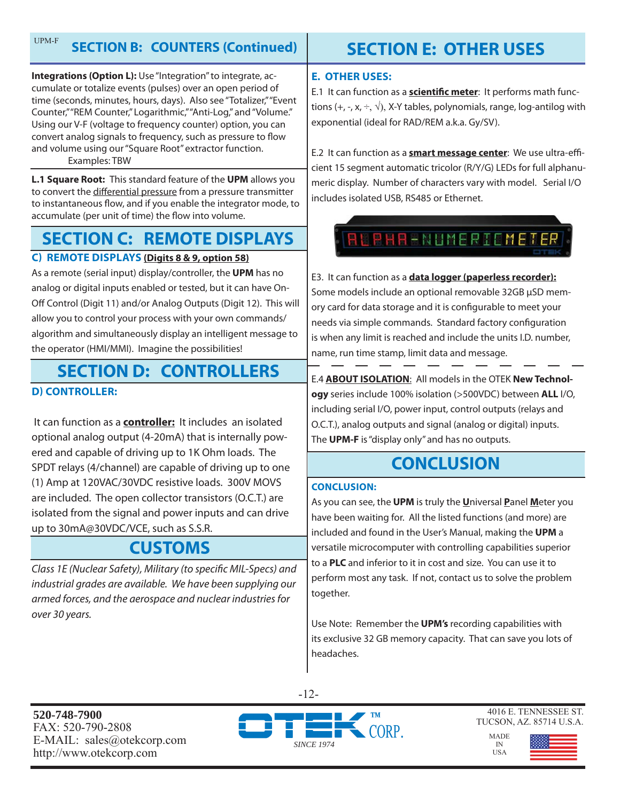**Integrations (Option L):** Use "Integration" to integrate, accumulate or totalize events (pulses) over an open period of time (seconds, minutes, hours, days). Also see "Totalizer," "Event Counter," "REM Counter," Logarithmic," "Anti-Log," and "Volume." Using our V-F (voltage to frequency counter) option, you can convert analog signals to frequency, such as pressure to flow and volume using our "Square Root" extractor function. Examples: TBW

**L.1 Square Root:** This standard feature of the **UPM** allows you to convert the differential pressure from a pressure transmitter to instantaneous flow, and if you enable the integrator mode, to accumulate (per unit of time) the flow into volume.

### **SECTION C: REMOTE DISPLAYS**

### **C) REMOTE DISPLAYS (Digits 8 & 9, option 58)**

As a remote (serial input) display/controller, the **UPM** has no analog or digital inputs enabled or tested, but it can have On-Off Control (Digit 11) and/or Analog Outputs (Digit 12). This will allow you to control your process with your own commands/ algorithm and simultaneously display an intelligent message to the operator (HMI/MMI). Imagine the possibilities!

### **D) CONTROLLER: SECTION D: CONTROLLERS**

 It can function as a **controller:** It includes an isolated optional analog output (4-20mA) that is internally powered and capable of driving up to 1K Ohm loads. The SPDT relays (4/channel) are capable of driving up to one (1) Amp at 120VAC/30VDC resistive loads. 300V MOVS are included. The open collector transistors (O.C.T.) are isolated from the signal and power inputs and can drive up to 30mA@30VDC/VCE, such as S.S.R.

### **CUSTOMS**

Class 1E (Nuclear Safety), Military (to specific MIL-Specs) and industrial grades are available. We have been supplying our armed forces, and the aerospace and nuclear industries for over 30 years.

## **SECTION E: OTHER USES**

### **E. OTHER USES:**

E.1 It can function as a **scientific meter**: It performs math functions (+, -, x,  $\div$ ,  $\sqrt{ }$ ), X-Y tables, polynomials, range, log-antilog with exponential (ideal for RAD/REM a.k.a. Gy/SV).

E.2 It can function as a **smart message center**: We use ultra-efficient 15 segment automatic tricolor (R/Y/G) LEDs for full alphanumeric display. Number of characters vary with model. Serial I/O includes isolated USB, RS485 or Ethernet.



E3. It can function as a **data logger (paperless recorder):** Some models include an optional removable 32GB μSD memory card for data storage and it is configurable to meet your needs via simple commands. Standard factory configuration is when any limit is reached and include the units I.D. number, name, run time stamp, limit data and message.

E.4 **ABOUT ISOLATION**: All models in the OTEK **New Technology** series include 100% isolation (>500VDC) between **ALL** I/O, including serial I/O, power input, control outputs (relays and O.C.T.), analog outputs and signal (analog or digital) inputs. The **UPM-F** is "display only" and has no outputs.

## **CONCLUSION**

#### **CONCLUSION:**

As you can see, the **UPM** is truly the **U**niversal **P**anel **M**eter you have been waiting for. All the listed functions (and more) are included and found in the User's Manual, making the **UPM** a versatile microcomputer with controlling capabilities superior to a **PLC** and inferior to it in cost and size. You can use it to perform most any task. If not, contact us to solve the problem together.

Use Note: Remember the **UPM's** recording capabilities with its exclusive 32 GB memory capacity. That can save you lots of headaches.

**520-748-7900** FAX: 520-790-2808 E-MAIL: sales@otekcorp.com http://www.otekcorp.com



-12-

4016 E. TENNESSEE ST. TUCSON, AZ. 85714 U.S.A.

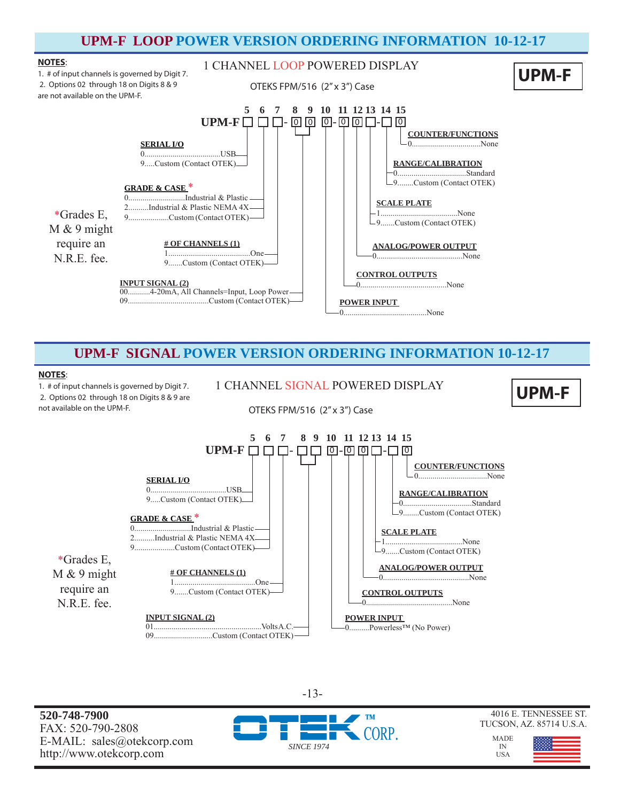### **UPM-F LOOP POWER VERSION ORDERING INFORMATION 10-12-17**



### **UPM-F SIGNAL POWER VERSION ORDERING INFORMATION 10-12-17**

#### **NOTES**:

1. # of input channels is governed by Digit 7. 2. Options 02 through 18 on Digits 8 & 9 are not available on the UPM-F.

1 CHANNEL SIGNAL POWERED DISPLAY **UPM-F** 

**UPM-F**

OTEKS FPM/516 (2" x 3") Case



**520-748-7900** FAX: 520-790-2808 E-MAIL: sales@otekcorp.com http://www.otekcorp.com



-13-



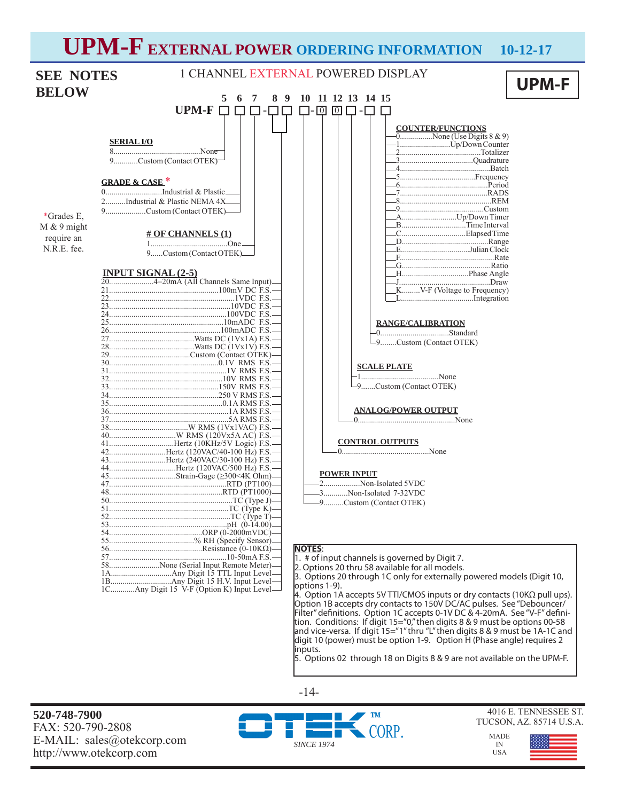# **UPM-F EXTERNAL POWER ORDERING INFORMATION 10-12-17**

| <b>SEE NOTES</b> |                                                           | 1 CHANNEL EXTERNAL POWERED DISPLAY                                                      |              |
|------------------|-----------------------------------------------------------|-----------------------------------------------------------------------------------------|--------------|
|                  |                                                           |                                                                                         | <b>UPM-F</b> |
| <b>BELOW</b>     | 8<br>9<br>5<br>6<br>-7                                    | 10 11 12 13 14 15                                                                       |              |
|                  | <b>UPM-F</b><br>$\Box$<br>$\Box$<br>l 1-                  | $\sqrt{0}$<br>$\sqrt{0}$                                                                |              |
|                  |                                                           |                                                                                         |              |
|                  | <b>SERIAL I/O</b>                                         | <b>COUNTER/FUNCTIONS</b><br>$\overline{0$ None (Use Digits 8 & 9)                       |              |
|                  |                                                           |                                                                                         |              |
|                  | 9Custom (Contact OTEK)                                    |                                                                                         |              |
|                  | <b>GRADE &amp; CASE*</b>                                  |                                                                                         |              |
|                  | 0Industrial & Plastic                                     |                                                                                         |              |
|                  | 2Industrial & Plastic NEMA 4X-                            |                                                                                         |              |
|                  | 9Custom (Contact OTEK)—                                   |                                                                                         |              |
| *Grades E,       |                                                           | AUp/Down Timer<br>BTime Interval                                                        |              |
| $M & 9$ might    | <b># OF CHANNELS (1)</b>                                  |                                                                                         |              |
| require an       |                                                           |                                                                                         |              |
| N.R.E. fee.      | 9Custom (Contact OTEK)_                                   | .EJulian Clock                                                                          |              |
|                  |                                                           |                                                                                         |              |
|                  | INPUT SIGNAL (2-5)<br>204-20mA (All Channels Same Input)— |                                                                                         |              |
|                  |                                                           | -J………………………………………Draw                                                                   |              |
|                  |                                                           | KV-F (Voltage to Frequency)                                                             |              |
|                  |                                                           |                                                                                         |              |
|                  |                                                           |                                                                                         |              |
|                  |                                                           | <b>RANGE/CALIBRATION</b>                                                                |              |
|                  |                                                           |                                                                                         |              |
|                  |                                                           | -9Custom (Contact OTEK)                                                                 |              |
|                  |                                                           |                                                                                         |              |
|                  |                                                           | <b>SCALE PLATE</b>                                                                      |              |
|                  |                                                           |                                                                                         |              |
|                  |                                                           | -9Custom (Contact OTEK)                                                                 |              |
|                  |                                                           |                                                                                         |              |
|                  |                                                           | <b>ANALOG/POWER OUTPUT</b>                                                              |              |
|                  |                                                           | None                                                                                    |              |
|                  |                                                           |                                                                                         |              |
|                  | 41Hertz (10KHz/5V Logic) F.S.-                            | <b>CONTROL OUTPUTS</b>                                                                  |              |
|                  | 42Hertz (120VAC/40-100 Hz) F.S.-                          |                                                                                         |              |
|                  | 43Hertz (240VAC/30-100 Hz) F.S.-                          |                                                                                         |              |
|                  |                                                           | <b>POWER INPUT</b>                                                                      |              |
|                  |                                                           | -2Non-Isolated 5VDC                                                                     |              |
|                  |                                                           | -3Non-Isolated 7-32VDC                                                                  |              |
|                  |                                                           | -9Custom (Contact OTEK)                                                                 |              |
|                  |                                                           |                                                                                         |              |
|                  |                                                           |                                                                                         |              |
|                  |                                                           |                                                                                         |              |
|                  |                                                           | <b>NOTES:</b>                                                                           |              |
|                  | 58None (Serial Input Remote Meter)-                       | 1. # of input channels is governed by Digit 7.                                          |              |
|                  |                                                           | 2. Options 20 thru 58 available for all models.                                         |              |
|                  |                                                           | 3. Options 20 through 1C only for externally powered models (Digit 10,<br>options 1-9). |              |
|                  | 1CAny Digit 15 V-F (Option K) Input Level-                | 4. Option 1A accepts 5V TTI/CMOS inputs or dry contacts (10K $\Omega$ pull ups)         |              |

4. Option 1A accepts 5V TTl/CMOS inputs or dry contacts (10KΩ pull ups). Option 1B accepts dry contacts to 150V DC/AC pulses. See "Debouncer/ Filter" definitions. Option 1C accepts 0-1V DC & 4-20mA. See "V-F" definition. Conditions: If digit 15="0," then digits 8 & 9 must be options 00-58 and vice-versa. If digit 15="1" thru "L" then digits 8 & 9 must be 1A-1C and digit 10 (power) must be option 1-9. Option H (Phase angle) requires 2 inputs.

5. Options 02 through 18 on Digits 8 & 9 are not available on the UPM-F.

-14-

**520-748-7900** FAX: 520-790-2808 E-MAIL: sales@otekcorp.com http://www.otekcorp.com



4016 E. TENNESSEE ST. TUCSON, AZ. 85714 U.S.A.